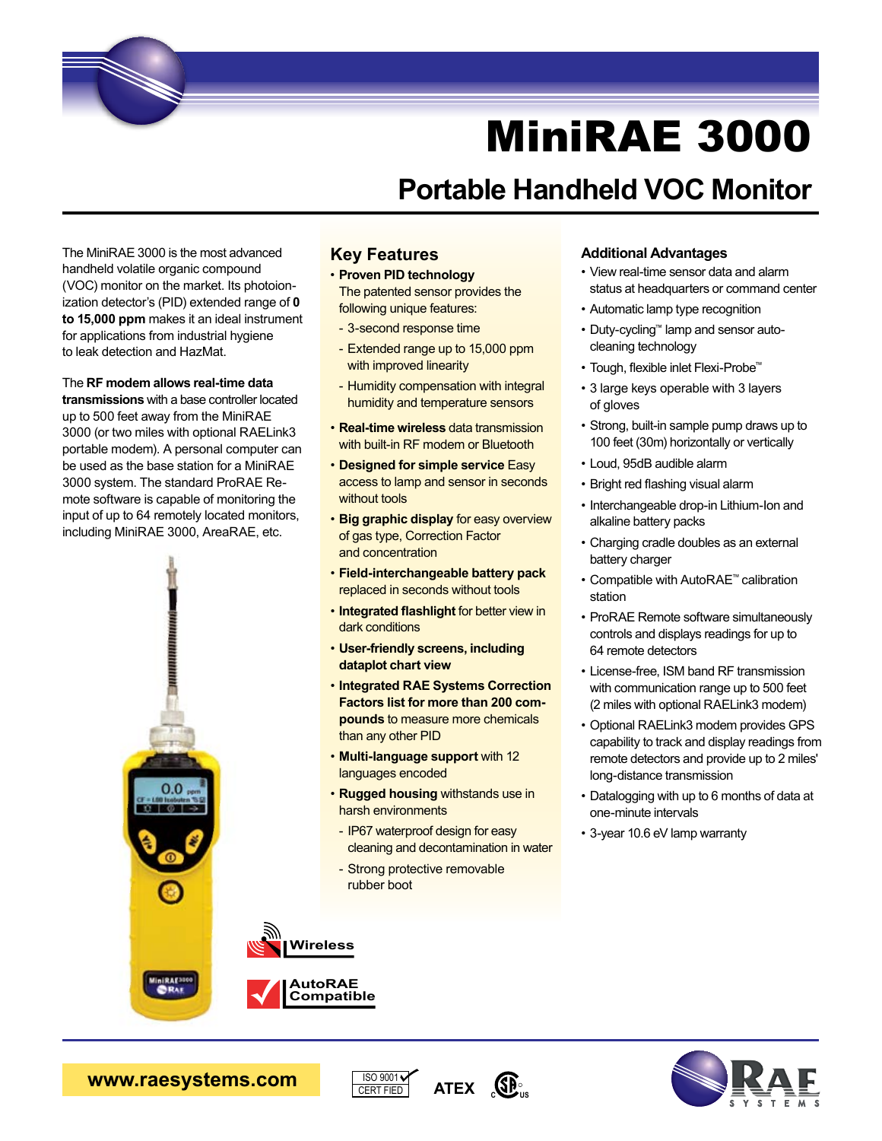

## **Portable Handheld VOC Monitor**

The MiniRAE 3000 is the most advanced handheld volatile organic compound (VOC) monitor on the market. Its photoionization detector's (PID) extended range of **0 to 15,000 ppm** makes it an ideal instrument for applications from industrial hygiene to leak detection and HazMat.

#### The **RF modem allows real-time data**

**transmissions** with a base controller located up to 500 feet away from the MiniRAE 3000 (or two miles with optional RAELink3 portable modem). A personal computer can be used as the base station for a MiniRAE 3000 system. The standard ProRAE Remote software is capable of monitoring the input of up to 64 remotely located monitors, including MiniRAE 3000, AreaRAE, etc.



#### **Key Features**

- • **Proven PID technology** The patented sensor provides the following unique features:
- 3-second response time
- Extended range up to 15,000 ppm with improved linearity
- Humidity compensation with integral humidity and temperature sensors
- • **Real-time wireless** data transmission with built-in RF modem or Bluetooth
- • **Designed for simple service** Easy access to lamp and sensor in seconds without tools
- • **Big graphic display** for easy overview of gas type, Correction Factor
- 
- 
- • **Integrated RAE Systems Correction Factors list for more than 200 compounds** to measure more chemicals
- 

ISO 9001 CERT FIED

 cleaning and decontamination in water

ATEX **SP**<sub>2</sub>

#### **Additional Advantages**

- • View real-time sensor data and alarm status at headquarters or command center
- • Automatic lamp type recognition
- • Duty-cycling™ lamp and sensor autocleaning technology
- • Tough, flexible inlet Flexi-Probe™
- • 3 large keys operable with 3 layers of gloves
- Strong, built-in sample pump draws up to 100 feet (30m) horizontally or vertically
- • Loud, 95dB audible alarm
- • Bright red flashing visual alarm
- Interchangeable drop-in Lithium-Ion and alkaline battery packs
- • Charging cradle doubles as an external battery charger
- • Compatible with AutoRAE™ calibration station
- ProRAE Remote software simultaneously controls and displays readings for up to 64 remote detectors
- • License-free, ISM band RF transmission with communication range up to 500 feet (2 miles with optional RAELink3 modem)
- • Optional RAELink3 modem provides GPS capability to track and display readings from remote detectors and provide up to 2 miles' long-distance transmission
- • Datalogging with up to 6 months of data at one-minute intervals
- • 3-year 10.6 eV lamp warranty